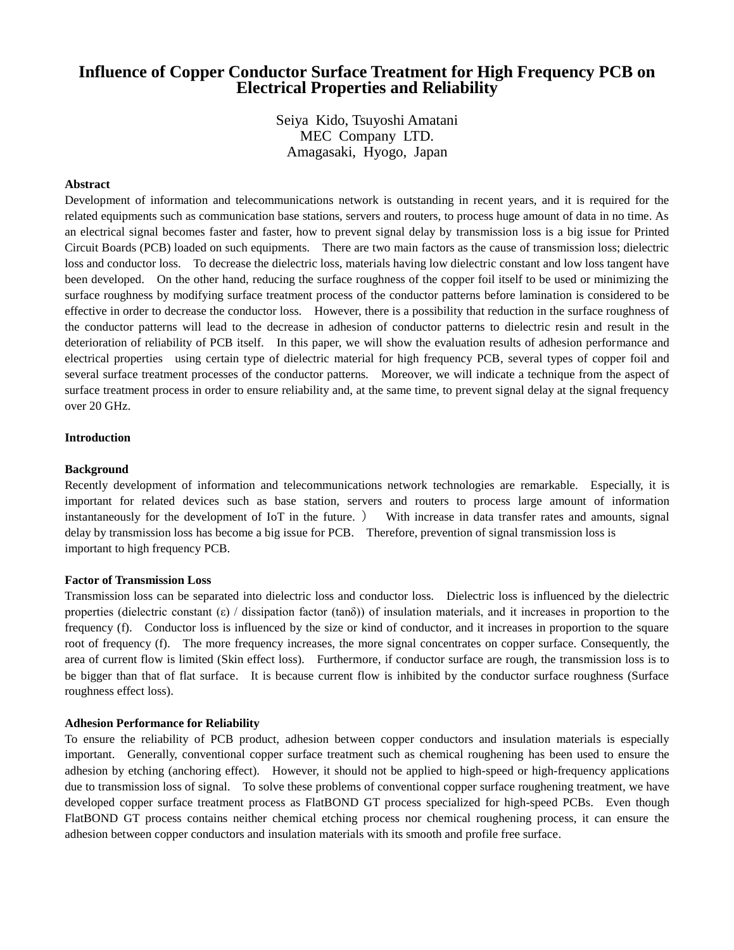# **Influence of Copper Conductor Surface Treatment for High Frequency PCB on Electrical Properties and Reliability**

Seiya Kido, Tsuyoshi Amatani MEC Company LTD. Amagasaki, Hyogo, Japan

### **Abstract**

Development of information and telecommunications network is outstanding in recent years, and it is required for the related equipments such as communication base stations, servers and routers, to process huge amount of data in no time. As an electrical signal becomes faster and faster, how to prevent signal delay by transmission loss is a big issue for Printed Circuit Boards (PCB) loaded on such equipments. There are two main factors as the cause of transmission loss; dielectric loss and conductor loss. To decrease the dielectric loss, materials having low dielectric constant and low loss tangent have been developed. On the other hand, reducing the surface roughness of the copper foil itself to be used or minimizing the surface roughness by modifying surface treatment process of the conductor patterns before lamination is considered to be effective in order to decrease the conductor loss. However, there is a possibility that reduction in the surface roughness of the conductor patterns will lead to the decrease in adhesion of conductor patterns to dielectric resin and result in the deterioration of reliability of PCB itself. In this paper, we will show the evaluation results of adhesion performance and electrical properties using certain type of dielectric material for high frequency PCB, several types of copper foil and several surface treatment processes of the conductor patterns. Moreover, we will indicate a technique from the aspect of surface treatment process in order to ensure reliability and, at the same time, to prevent signal delay at the signal frequency over 20 GHz.

### **Introduction**

## **Background**

Recently development of information and telecommunications network technologies are remarkable. Especially, it is important for related devices such as base station, servers and routers to process large amount of information instantaneously for the development of IoT in the future. ) With increase in data transfer rates and amounts, signal delay by transmission loss has become a big issue for PCB. Therefore, prevention of signal transmission loss is important to high frequency PCB.

#### **Factor of Transmission Loss**

Transmission loss can be separated into dielectric loss and conductor loss. Dielectric loss is influenced by the dielectric properties (dielectric constant  $(\epsilon)$  / dissipation factor (tanδ)) of insulation materials, and it increases in proportion to the frequency (f). Conductor loss is influenced by the size or kind of conductor, and it increases in proportion to the square root of frequency (f). The more frequency increases, the more signal concentrates on copper surface. Consequently, the area of current flow is limited (Skin effect loss). Furthermore, if conductor surface are rough, the transmission loss is to be bigger than that of flat surface. It is because current flow is inhibited by the conductor surface roughness (Surface roughness effect loss).

#### **Adhesion Performance for Reliability**

To ensure the reliability of PCB product, adhesion between copper conductors and insulation materials is especially important. Generally, conventional copper surface treatment such as chemical roughening has been used to ensure the adhesion by etching (anchoring effect). However, it should not be applied to high-speed or high-frequency applications due to transmission loss of signal. To solve these problems of conventional copper surface roughening treatment, we have developed copper surface treatment process as FlatBOND GT process specialized for high-speed PCBs. Even though FlatBOND GT process contains neither chemical etching process nor chemical roughening process, it can ensure the adhesion between copper conductors and insulation materials with its smooth and profile free surface.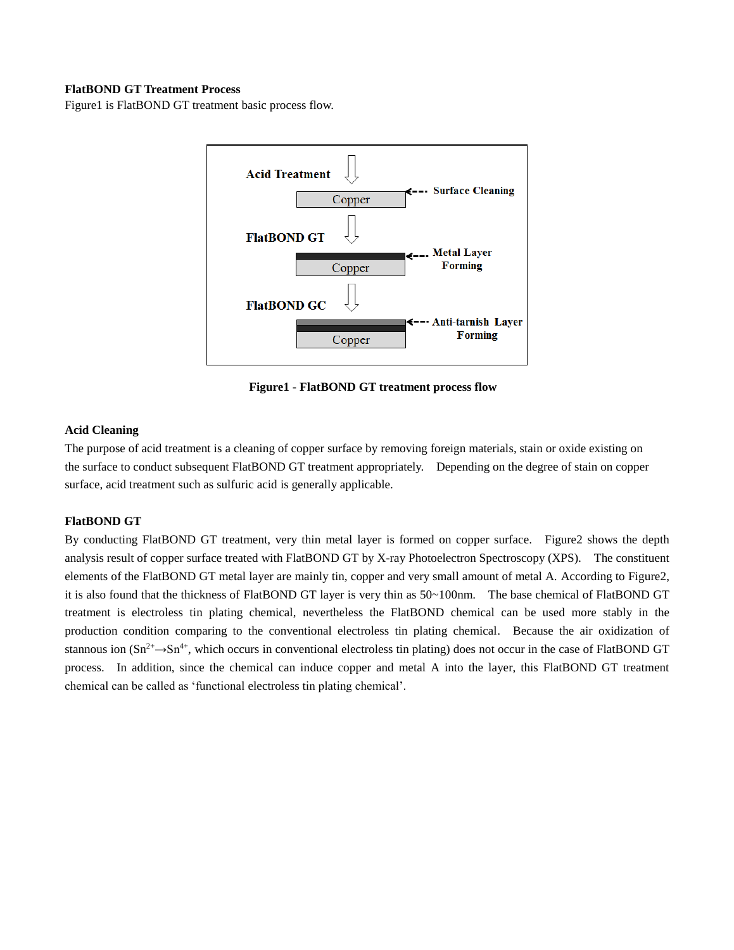# **FlatBOND GT Treatment Process**

Figure1 is FlatBOND GT treatment basic process flow.



**Figure1 - FlatBOND GT treatment process flow**

# **Acid Cleaning**

The purpose of acid treatment is a cleaning of copper surface by removing foreign materials, stain or oxide existing on the surface to conduct subsequent FlatBOND GT treatment appropriately. Depending on the degree of stain on copper surface, acid treatment such as sulfuric acid is generally applicable.

# **FlatBOND GT**

By conducting FlatBOND GT treatment, very thin metal layer is formed on copper surface. Figure2 shows the depth analysis result of copper surface treated with FlatBOND GT by X-ray Photoelectron Spectroscopy (XPS). The constituent elements of the FlatBOND GT metal layer are mainly tin, copper and very small amount of metal A. According to Figure2, it is also found that the thickness of FlatBOND GT layer is very thin as 50~100nm. The base chemical of FlatBOND GT treatment is electroless tin plating chemical, nevertheless the FlatBOND chemical can be used more stably in the production condition comparing to the conventional electroless tin plating chemical. Because the air oxidization of stannous ion  $(Sn^{2+} \rightarrow Sn^{4+}$ , which occurs in conventional electroless tin plating) does not occur in the case of FlatBOND GT process. In addition, since the chemical can induce copper and metal A into the layer, this FlatBOND GT treatment chemical can be called as 'functional electroless tin plating chemical'.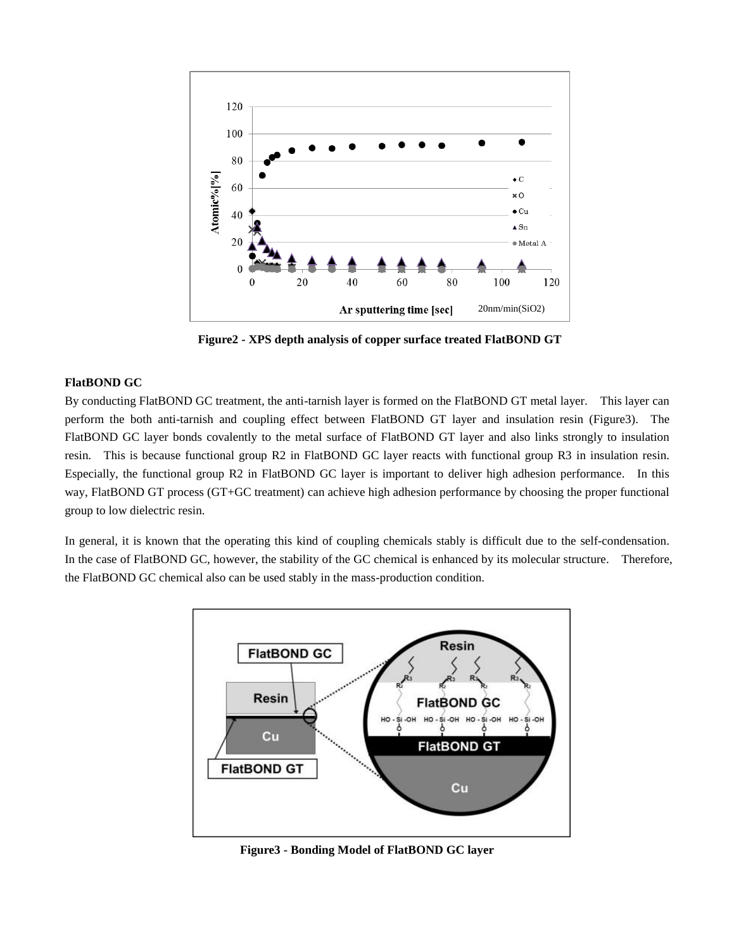

**Figure2 - XPS depth analysis of copper surface treated FlatBOND GT**

### **FlatBOND GC**

By conducting FlatBOND GC treatment, the anti-tarnish layer is formed on the FlatBOND GT metal layer. This layer can perform the both anti-tarnish and coupling effect between FlatBOND GT layer and insulation resin (Figure3). The FlatBOND GC layer bonds covalently to the metal surface of FlatBOND GT layer and also links strongly to insulation resin. This is because functional group R2 in FlatBOND GC layer reacts with functional group R3 in insulation resin. Especially, the functional group R2 in FlatBOND GC layer is important to deliver high adhesion performance. In this way, FlatBOND GT process (GT+GC treatment) can achieve high adhesion performance by choosing the proper functional group to low dielectric resin.

In general, it is known that the operating this kind of coupling chemicals stably is difficult due to the self-condensation. In the case of FlatBOND GC, however, the stability of the GC chemical is enhanced by its molecular structure. Therefore, the FlatBOND GC chemical also can be used stably in the mass-production condition.



**Figure3 - Bonding Model of FlatBOND GC layer**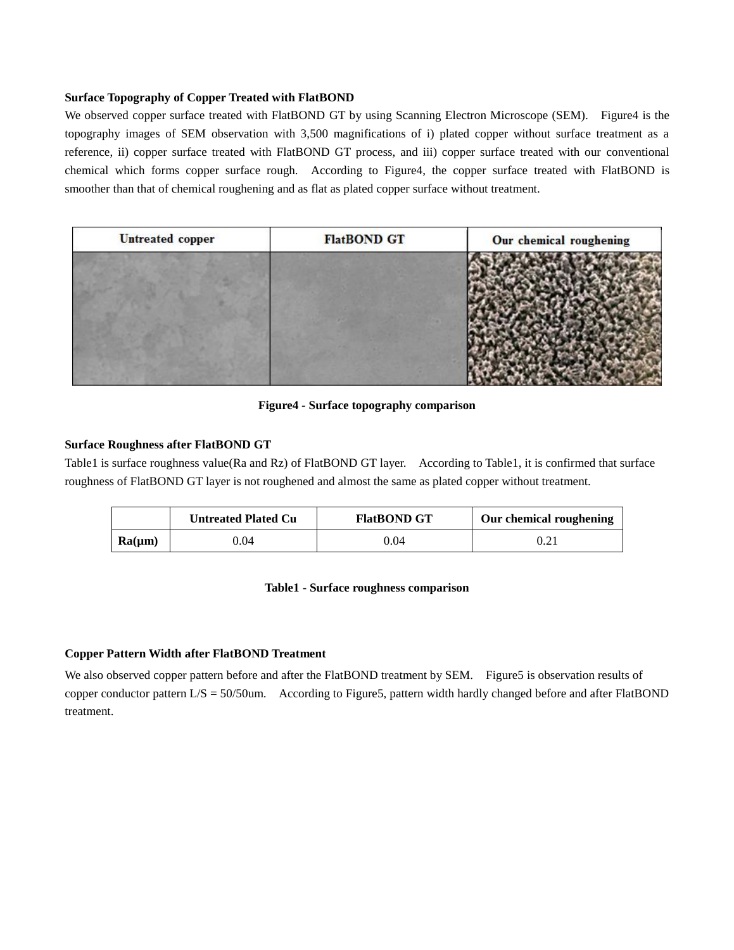# **Surface Topography of Copper Treated with FlatBOND**

We observed copper surface treated with FlatBOND GT by using Scanning Electron Microscope (SEM). Figure4 is the topography images of SEM observation with 3,500 magnifications of i) plated copper without surface treatment as a reference, ii) copper surface treated with FlatBOND GT process, and iii) copper surface treated with our conventional chemical which forms copper surface rough. According to Figure4, the copper surface treated with FlatBOND is smoother than that of chemical roughening and as flat as plated copper surface without treatment.

| <b>Untreated</b> copper | <b>FlatBOND GT</b> | Our chemical roughening |
|-------------------------|--------------------|-------------------------|
|                         |                    |                         |

# **Figure4** *-* **Surface topography comparison**

# **Surface Roughness after FlatBOND GT**

Table1 is surface roughness value(Ra and Rz) of FlatBOND GT layer. According to Table1, it is confirmed that surface roughness of FlatBOND GT layer is not roughened and almost the same as plated copper without treatment.

|             | <b>Untreated Plated Cu</b> | <b>FlatBOND GT</b> | Our chemical roughening |
|-------------|----------------------------|--------------------|-------------------------|
| $Ra(\mu m)$ | 0.04                       | 0.04               |                         |

### **Table1 - Surface roughness comparison**

# **Copper Pattern Width after FlatBOND Treatment**

We also observed copper pattern before and after the FlatBOND treatment by SEM. Figure5 is observation results of copper conductor pattern L/S = 50/50um. According to Figure5, pattern width hardly changed before and after FlatBOND treatment.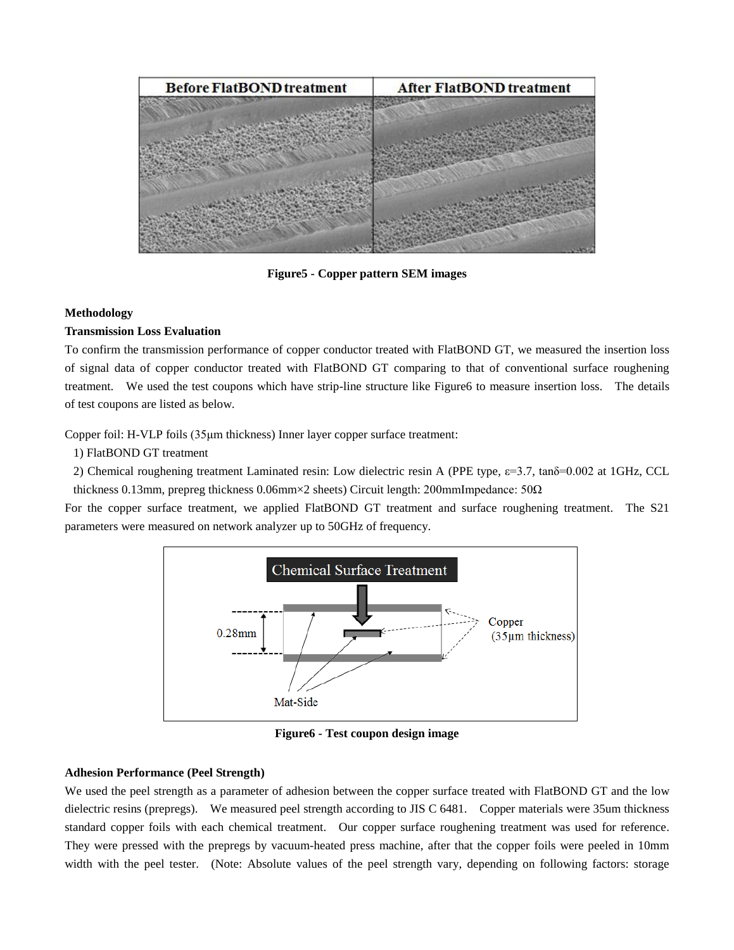

**Figure5 - Copper pattern SEM images**

### **Methodology**

### **Transmission Loss Evaluation**

To confirm the transmission performance of copper conductor treated with FlatBOND GT, we measured the insertion loss of signal data of copper conductor treated with FlatBOND GT comparing to that of conventional surface roughening treatment. We used the test coupons which have strip-line structure like Figure6 to measure insertion loss. The details of test coupons are listed as below.

Copper foil: H-VLP foils (35μm thickness) Inner layer copper surface treatment:

1) FlatBOND GT treatment

2) Chemical roughening treatment Laminated resin: Low dielectric resin A (PPE type, ε=3.7, tanδ=0.002 at 1GHz, CCL thickness 0.13mm, prepreg thickness 0.06mm×2 sheets) Circuit length: 200mmImpedance:  $50\Omega$ 

For the copper surface treatment, we applied FlatBOND GT treatment and surface roughening treatment. The S21 parameters were measured on network analyzer up to 50GHz of frequency.



**Figure6 - Test coupon design image**

# **Adhesion Performance (Peel Strength)**

We used the peel strength as a parameter of adhesion between the copper surface treated with FlatBOND GT and the low dielectric resins (prepregs). We measured peel strength according to JIS C 6481. Copper materials were 35um thickness standard copper foils with each chemical treatment. Our copper surface roughening treatment was used for reference. They were pressed with the prepregs by vacuum-heated press machine, after that the copper foils were peeled in 10mm width with the peel tester. (Note: Absolute values of the peel strength vary, depending on following factors: storage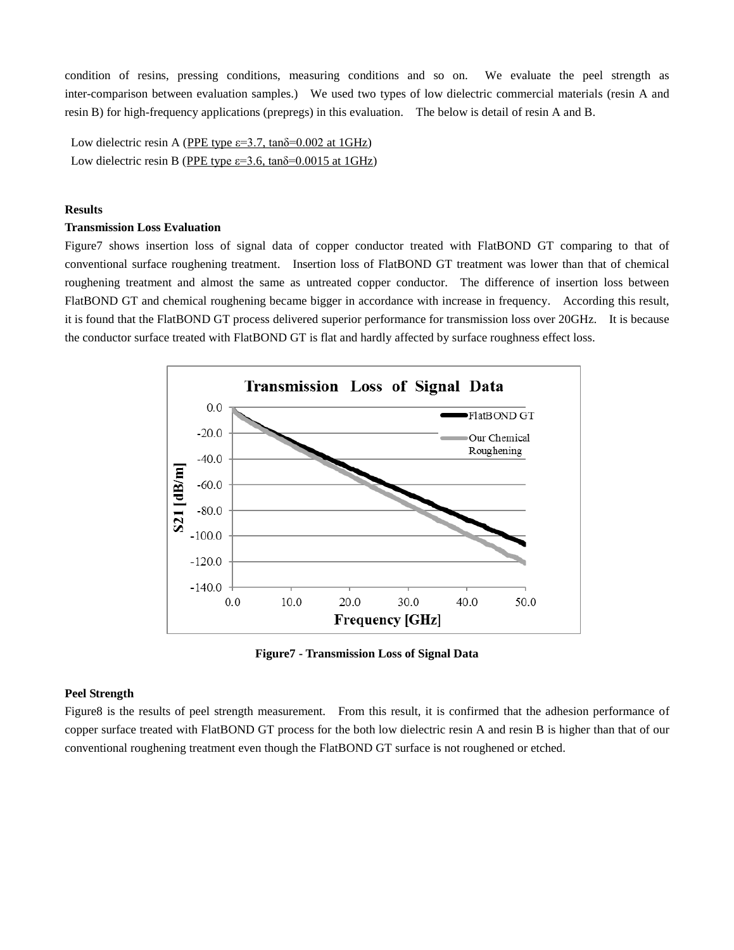condition of resins, pressing conditions, measuring conditions and so on. We evaluate the peel strength as inter-comparison between evaluation samples.) We used two types of low dielectric commercial materials (resin A and resin B) for high-frequency applications (prepregs) in this evaluation. The below is detail of resin A and B.

Low dielectric resin A (PPE type  $\varepsilon$ =3.7, tan $\delta$ =0.002 at 1GHz) Low dielectric resin B (PPE type  $\varepsilon$ =3.6, tan $\delta$ =0.0015 at 1GHz)

# **Results**

#### **Transmission Loss Evaluation**

Figure7 shows insertion loss of signal data of copper conductor treated with FlatBOND GT comparing to that of conventional surface roughening treatment. Insertion loss of FlatBOND GT treatment was lower than that of chemical roughening treatment and almost the same as untreated copper conductor. The difference of insertion loss between FlatBOND GT and chemical roughening became bigger in accordance with increase in frequency. According this result, it is found that the FlatBOND GT process delivered superior performance for transmission loss over 20GHz. It is because the conductor surface treated with FlatBOND GT is flat and hardly affected by surface roughness effect loss.



**Figure7 - Transmission Loss of Signal Data**

### **Peel Strength**

Figure8 is the results of peel strength measurement. From this result, it is confirmed that the adhesion performance of copper surface treated with FlatBOND GT process for the both low dielectric resin A and resin B is higher than that of our conventional roughening treatment even though the FlatBOND GT surface is not roughened or etched.